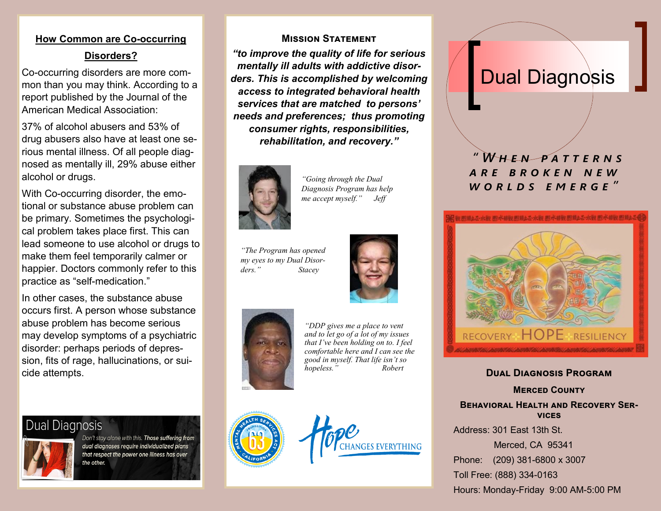## **How Common are Co-occurring Disorders?**

Co-occurring disorders are more common than you may think. According to a report published by the Journal of the American Medical Association:

37% of alcohol abusers and 53% of drug abusers also have at least one serious mental illness. Of all people diagnosed as mentally ill, 29% abuse either alcohol or drugs.

With Co-occurring disorder, the emotional or substance abuse problem can be primary. Sometimes the psychological problem takes place first. This can lead someone to use alcohol or drugs to make them feel temporarily calmer or happier. Doctors commonly refer to this practice as "self-medication."

In other cases, the substance abuse occurs first. A person whose substance abuse problem has become serious may develop symptoms of a psychiatric disorder: perhaps periods of depression, fits of rage, hallucinations, or suicide attempts.

## **Dual Diagnosis**



Don't stay alone with this. Those suffering from dual diagnoses require individualized plans that respect the power one illness has over the other.

#### **Mission Statement**

*"to improve the quality of life for serious mentally ill adults with addictive disorders. This is accomplished by welcoming access to integrated behavioral health services that are matched to persons' needs and preferences; thus promoting consumer rights, responsibilities, rehabilitation, and recovery."*



*"Going through the Dual Diagnosis Program has help me accept myself." Jeff*

*"The Program has opened my eyes to my Dual Disorders." Stacey*





*"DDP gives me a place to vent and to let go of a lot of my issues that I've been holding on to. I feel comfortable here and I can see the good in myself. That life isn't so hopeless.*<sup>"</sup>



**NGES EVERYTHING** 

# **Dual Diagnosis**

### W H E N P A T T F R N S *a r e b r o k e n n e w w o r l d s e m e r g e "*



#### **Dual Diagnosis Program**

**Merced County Behavioral Health and Recovery Services**

Address: 301 East 13th St.

Merced, CA 95341

Phone: (209) 381-6800 x 3007

Toll Free: (888) 334-0163

Hours: Monday-Friday 9:00 AM-5:00 PM